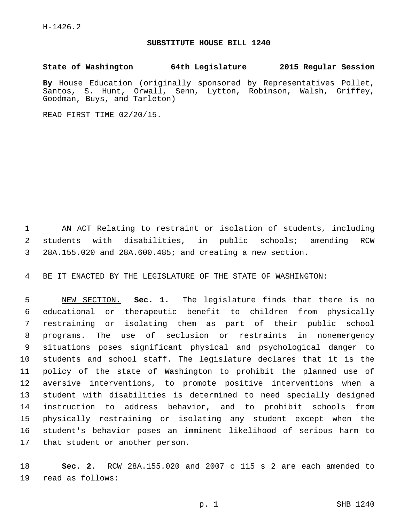## **SUBSTITUTE HOUSE BILL 1240**

**State of Washington 64th Legislature 2015 Regular Session**

**By** House Education (originally sponsored by Representatives Pollet, Santos, S. Hunt, Orwall, Senn, Lytton, Robinson, Walsh, Griffey, Goodman, Buys, and Tarleton)

READ FIRST TIME 02/20/15.

 AN ACT Relating to restraint or isolation of students, including students with disabilities, in public schools; amending RCW 28A.155.020 and 28A.600.485; and creating a new section.

BE IT ENACTED BY THE LEGISLATURE OF THE STATE OF WASHINGTON:

 NEW SECTION. **Sec. 1.** The legislature finds that there is no educational or therapeutic benefit to children from physically restraining or isolating them as part of their public school programs. The use of seclusion or restraints in nonemergency situations poses significant physical and psychological danger to students and school staff. The legislature declares that it is the policy of the state of Washington to prohibit the planned use of aversive interventions, to promote positive interventions when a student with disabilities is determined to need specially designed instruction to address behavior, and to prohibit schools from physically restraining or isolating any student except when the student's behavior poses an imminent likelihood of serious harm to that student or another person.

 **Sec. 2.** RCW 28A.155.020 and 2007 c 115 s 2 are each amended to 19 read as follows: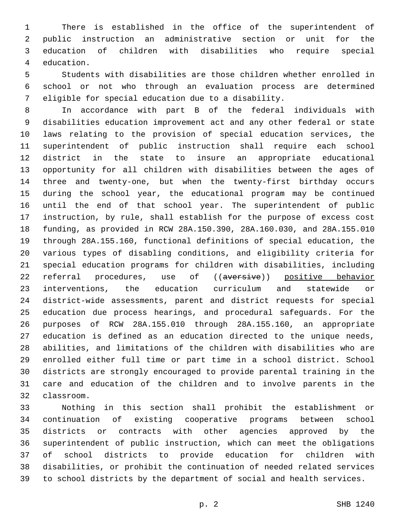There is established in the office of the superintendent of public instruction an administrative section or unit for the education of children with disabilities who require special 4 education.

 Students with disabilities are those children whether enrolled in school or not who through an evaluation process are determined eligible for special education due to a disability.

 In accordance with part B of the federal individuals with disabilities education improvement act and any other federal or state laws relating to the provision of special education services, the superintendent of public instruction shall require each school district in the state to insure an appropriate educational opportunity for all children with disabilities between the ages of three and twenty-one, but when the twenty-first birthday occurs during the school year, the educational program may be continued until the end of that school year. The superintendent of public instruction, by rule, shall establish for the purpose of excess cost funding, as provided in RCW 28A.150.390, 28A.160.030, and 28A.155.010 through 28A.155.160, functional definitions of special education, the various types of disabling conditions, and eligibility criteria for special education programs for children with disabilities, including 22 referral procedures, use of ((aversive)) positive behavior interventions, the education curriculum and statewide or district-wide assessments, parent and district requests for special education due process hearings, and procedural safeguards. For the purposes of RCW 28A.155.010 through 28A.155.160, an appropriate education is defined as an education directed to the unique needs, abilities, and limitations of the children with disabilities who are enrolled either full time or part time in a school district. School districts are strongly encouraged to provide parental training in the care and education of the children and to involve parents in the classroom.32

 Nothing in this section shall prohibit the establishment or continuation of existing cooperative programs between school districts or contracts with other agencies approved by the superintendent of public instruction, which can meet the obligations of school districts to provide education for children with disabilities, or prohibit the continuation of needed related services to school districts by the department of social and health services.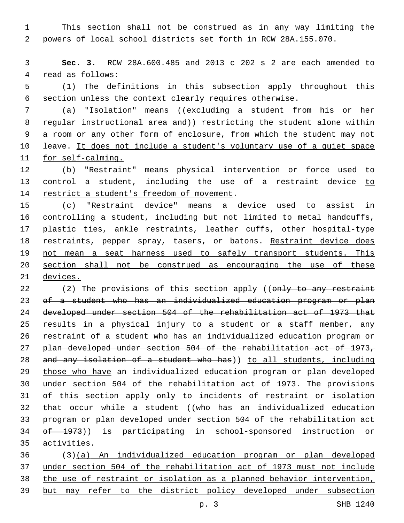This section shall not be construed as in any way limiting the powers of local school districts set forth in RCW 28A.155.070.

 **Sec. 3.** RCW 28A.600.485 and 2013 c 202 s 2 are each amended to 4 read as follows:

 (1) The definitions in this subsection apply throughout this section unless the context clearly requires otherwise.

 (a) "Isolation" means ((excluding a student from his or her 8 regular instructional area and)) restricting the student alone within a room or any other form of enclosure, from which the student may not 10 leave. It does not include a student's voluntary use of a quiet space for self-calming.

 (b) "Restraint" means physical intervention or force used to 13 control a student, including the use of a restraint device to 14 restrict a student's freedom of movement.

 (c) "Restraint device" means a device used to assist in controlling a student, including but not limited to metal handcuffs, plastic ties, ankle restraints, leather cuffs, other hospital-type 18 restraints, pepper spray, tasers, or batons. Restraint device does not mean a seat harness used to safely transport students. This section shall not be construed as encouraging the use of these devices.

22 (2) The provisions of this section apply ((only to any restraint of a student who has an individualized education program or plan developed under section 504 of the rehabilitation act of 1973 that 25 results in a physical injury to a student or a staff member, any restraint of a student who has an individualized education program or plan developed under section 504 of the rehabilitation act of 1973, 28 and any isolation of a student who has)) to all students, including 29 those who have an individualized education program or plan developed under section 504 of the rehabilitation act of 1973. The provisions of this section apply only to incidents of restraint or isolation 32 that occur while a student ((who has an individualized education program or plan developed under section 504 of the rehabilitation act 34 <del>of 1973</del>)) is participating in school-sponsored instruction or activities.35

 (3)(a) An individualized education program or plan developed under section 504 of the rehabilitation act of 1973 must not include the use of restraint or isolation as a planned behavior intervention, but may refer to the district policy developed under subsection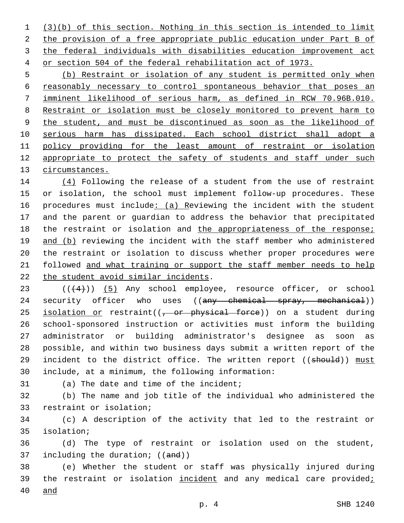(3)(b) of this section. Nothing in this section is intended to limit 2 the provision of a free appropriate public education under Part B of the federal individuals with disabilities education improvement act or section 504 of the federal rehabilitation act of 1973.

 (b) Restraint or isolation of any student is permitted only when reasonably necessary to control spontaneous behavior that poses an imminent likelihood of serious harm, as defined in RCW 70.96B.010. Restraint or isolation must be closely monitored to prevent harm to the student, and must be discontinued as soon as the likelihood of serious harm has dissipated. Each school district shall adopt a policy providing for the least amount of restraint or isolation 12 appropriate to protect the safety of students and staff under such 13 circumstances.

14 (4) Following the release of a student from the use of restraint 15 or isolation, the school must implement follow-up procedures. These 16 procedures must include: (a) Reviewing the incident with the student 17 and the parent or guardian to address the behavior that precipitated 18 the restraint or isolation and the appropriateness of the response; 19 and (b) reviewing the incident with the staff member who administered 20 the restraint or isolation to discuss whether proper procedures were 21 followed and what training or support the staff member needs to help 22 the student avoid similar incidents.

23 (( $(4)$ )) (5) Any school employee, resource officer, or school 24 security officer who uses ((<del>any chemical spray, mechanical</del>)) 25 isolation or restraint((, or physical force)) on a student during 26 school-sponsored instruction or activities must inform the building 27 administrator or building administrator's designee as soon as 28 possible, and within two business days submit a written report of the 29 incident to the district office. The written report ((should)) must include, at a minimum, the following information:30

31 (a) The date and time of the incident;

32 (b) The name and job title of the individual who administered the 33 restraint or isolation;

34 (c) A description of the activity that led to the restraint or 35 isolation;

36 (d) The type of restraint or isolation used on the student, 37 including the duration; ((and))

38 (e) Whether the student or staff was physically injured during 39 the restraint or isolation incident and any medical care provided; 40 and